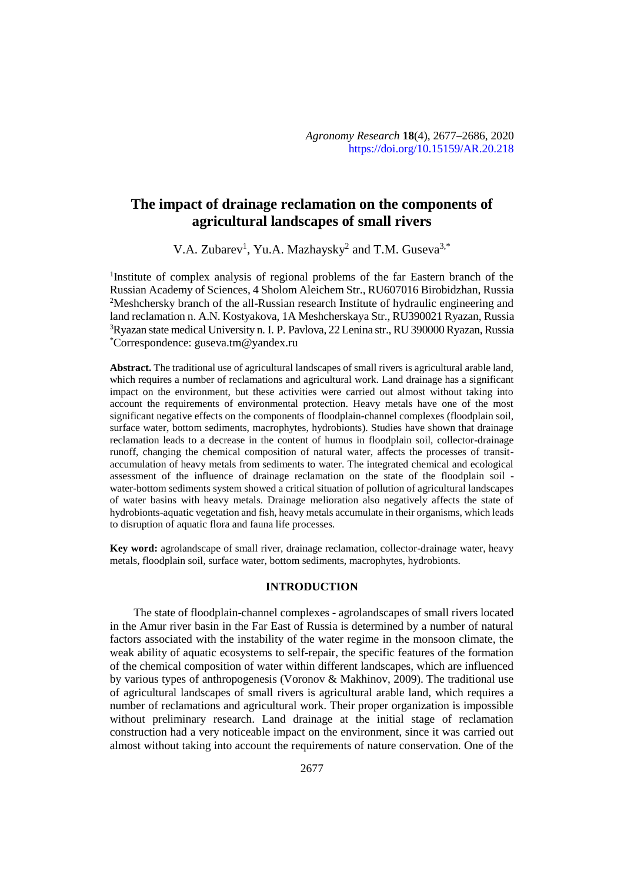# **The impact of drainage reclamation on the components of agricultural landscapes of small rivers**

V.A. Zubarev<sup>1</sup>, Yu.A. Mazhaysky<sup>2</sup> and T.M. Guseva<sup>3,\*</sup>

<sup>1</sup>Institute of complex analysis of regional problems of the far Eastern branch of the Russian Academy of Sciences, 4 Sholom Aleichem Str., RU607016 Birobidzhan, Russia <sup>2</sup>Meshchersky branch of the all-Russian research Institute of hydraulic engineering and land reclamation n. A.N. Kostyakova, 1A Meshcherskaya Str., RU390021 Ryazan, Russia <sup>3</sup>Ryazan state medical University n. I. P. Pavlova, 22 Lenina str., RU 390000 Ryazan, Russia \*Correspondence: guseva.tm@yandex.ru

**Abstract.** The traditional use of agricultural landscapes of small rivers is agricultural arable land, which requires a number of reclamations and agricultural work. Land drainage has a significant impact on the environment, but these activities were carried out almost without taking into account the requirements of environmental protection. Heavy metals have one of the most significant negative effects on the components of floodplain-channel complexes (floodplain soil, surface water, bottom sediments, macrophytes, hydrobionts). Studies have shown that drainage reclamation leads to a decrease in the content of humus in floodplain soil, collector-drainage runoff, changing the chemical composition of natural water, affects the processes of transit accumulation of heavy metals from sediments to water. The integrated chemical and ecological assessment of the influence of drainage reclamation on the state of the floodplain soil water-bottom sediments system showed a critical situation of pollution of agricultural landscapes of water basins with heavy metals. Drainage melioration also negatively affects the state of hydrobionts-aquatic vegetation and fish, heavy metals accumulate in their organisms, which leads to disruption of aquatic flora and fauna life processes.

**Key word:** agrolandscape of small river, drainage reclamation, collector-drainage water, heavy metals, floodplain soil, surface water, bottom sediments, macrophytes, hydrobionts.

## **INTRODUCTION**

The state of floodplain-channel complexes - agrolandscapes of small rivers located in the Amur river basin in the Far East of Russia is determined by a number of natural factors associated with the instability of the water regime in the monsoon climate, the weak ability of aquatic ecosystems to self-repair, the specific features of the formation of the chemical composition of water within different landscapes, which are influenced by various types of anthropogenesis (Voronov & Makhinov, 2009). The traditional use of agricultural landscapes of small rivers is agricultural arable land, which requires a number of reclamations and agricultural work. Their proper organization is impossible without preliminary research. Land drainage at the initial stage of reclamation construction had a very noticeable impact on the environment, since it was carried out almost without taking into account the requirements of nature conservation. One of the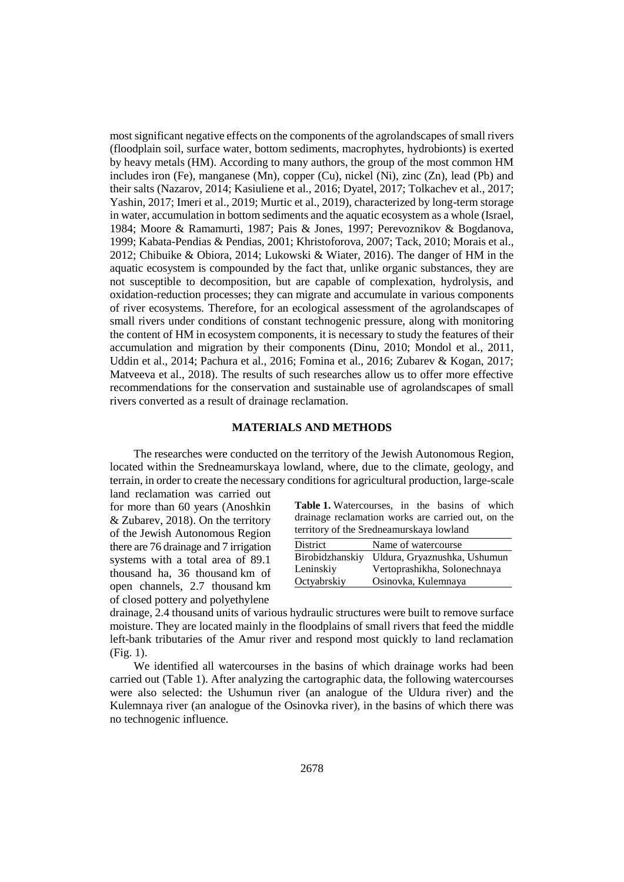most significant negative effects on the components of the agrolandscapes of small rivers (floodplain soil, surface water, bottom sediments, macrophytes, hydrobionts) is exerted by heavy metals (HM). According to many authors, the group of the most common HM includes iron (Fe), manganese (Mn), copper (Cu), nickel (Ni), zinc (Zn), lead (Pb) and their salts (Nazarov, 2014; Kasiuliene et al., 2016; Dyatel, 2017; Tolkachev et al., 2017; Yashin, 2017; Imeri et al., 2019; Murtic et al., 2019), characterized by long-term storage in water, accumulation in bottom sediments and the aquatic ecosystem as a whole (Israel, 1984; Moore & Ramamurti, 1987; Pais & Jones, 1997; Perevoznikov & Bogdanova, 1999; Kabata-Pendias & Pendias, 2001; Khristoforova, 2007; Tack, 2010; Morais et al., 2012; Chibuike & Obiora, 2014; Lukowski & Wiater, 2016). The danger of HM in the aquatic ecosystem is compounded by the fact that, unlike organic substances, they are not susceptible to decomposition, but are capable of complexation, hydrolysis, and oxidation-reduction processes; they can migrate and accumulate in various components of river ecosystems. Therefore, for an ecological assessment of the agrolandscapes of small rivers under conditions of constant technogenic pressure, along with monitoring the content of HM in ecosystem components, it is necessary to study the features of their accumulation and migration by their components (Dinu, 2010; Mondol et al., 2011, Uddin et al., 2014; Pachura et al., 2016; Fomina et al., 2016; Zubarev & Kogan, 2017; Matveeva et al., 2018). The results of such researches allow us to offer more effective recommendations for the conservation and sustainable use of agrolandscapes of small rivers converted as a result of drainage reclamation.

#### **MATERIALS AND METHODS**

The researches were conducted on the territory of the Jewish Autonomous Region, located within the Sredneamurskaya lowland, where, due to the climate, geology, and terrain, in order to create the necessary conditions for agricultural production, large-scale

land reclamation was carried out for more than 60 years (Anoshkin & Zubarev, 2018). On the territory of the Jewish Autonomous Region there are 76 drainage and 7 irrigation systems with a total area of 89.1 thousand ha, 36 thousand km of open channels, 2.7 thousand km of closed pottery and polyethylene

| <b>Table 1.</b> Watercourses, in the basins of which |  |  |  |
|------------------------------------------------------|--|--|--|
| drainage reclamation works are carried out, on the   |  |  |  |
| territory of the Sredneamurskaya lowland             |  |  |  |

| District    | Name of watercourse                          |
|-------------|----------------------------------------------|
|             | Birobidzhanskiy Uldura, Gryaznushka, Ushumun |
| Leninskiy   | Vertoprashikha, Solonechnaya                 |
| Octyabrskiy | Osinovka, Kulemnaya                          |

drainage, 2.4 thousand units of various hydraulic structures were built to remove surface moisture. They are located mainly in the floodplains of small rivers that feed the middle left-bank tributaries of the Amur river and respond most quickly to land reclamation (Fig. 1).

We identified all watercourses in the basins of which drainage works had been carried out (Table 1). After analyzing the cartographic data, the following watercourses were also selected: the Ushumun river (an analogue of the Uldura river) and the Kulemnaya river (an analogue of the Osinovka river), in the basins of which there was no technogenic influence.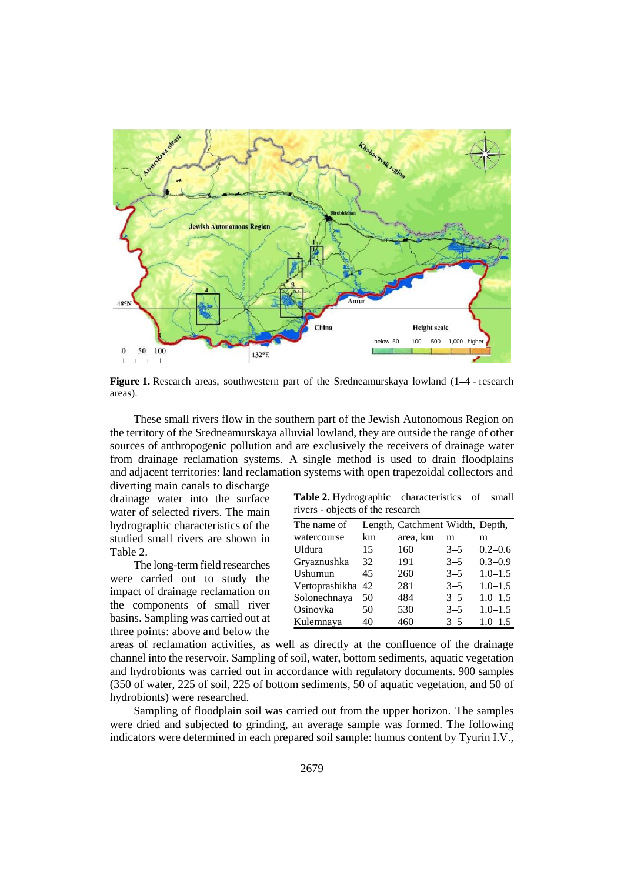

**Figure 1.** Research areas, southwestern part of the Sredneamurskaya lowland (1–4 - research areas).

These small rivers flow in the southern part of the Jewish Autonomous Region on the territory of the Sredneamurskaya alluvial lowland, they are outside the range of other sources of anthropogenic pollution and are exclusively the receivers of drainage water from drainage reclamation systems. A single method is used to drain floodplains and adjacent territories: land reclamation systems with open trapezoidal collectors and

diverting main canals to discharge drainage water into the surface  $\frac{1}{1}$ <br>water of selected rivers. The main water of selected rivers. The main hydrographic characteristics of the studied small rivers are shown in Table 2.

The long-term field researches were carried out to study the impact of drainage reclamation on the components of small river basins. Sampling was carried out at three points: above and below the

| Table 2. Hydrographic characteristics of small |  |  |
|------------------------------------------------|--|--|
| rivers - objects of the research               |  |  |

| The name of       |    | Length, Catchment Width, Depth, |         |             |
|-------------------|----|---------------------------------|---------|-------------|
| watercourse       | km | area, km                        | m       | m           |
| Uldura            | 15 | 160                             | $3 - 5$ | $0.2 - 0.6$ |
| Gryaznushka       | 32 | 191                             | $3 - 5$ | $0.3 - 0.9$ |
| Ushumun           | 45 | 260                             | $3 - 5$ | $1.0 - 1.5$ |
| Vertoprashikha 42 |    | 281                             | $3 - 5$ | $1.0 - 1.5$ |
| Solonechnaya      | 50 | 484                             | $3 - 5$ | $1.0 - 1.5$ |
| Osinovka          | 50 | 530                             | $3 - 5$ | $1.0 - 1.5$ |
| Kulemnaya         | 40 | 460                             | $3 - 5$ | $1.0 - 1.5$ |

areas of reclamation activities, as well as directly at the confluence of the drainage channel into the reservoir. Sampling of soil, water, bottom sediments, aquatic vegetation and hydrobionts was carried out in accordance with regulatory documents. 900 samples (350 of water, 225 of soil, 225 of bottom sediments, 50 of aquatic vegetation, and 50 of hydrobionts) were researched.

Sampling of floodplain soil was carried out from the upper horizon. The samples were dried and subjected to grinding, an average sample was formed. The following indicators were determined in each prepared soil sample: humus content by Tyurin I.V.,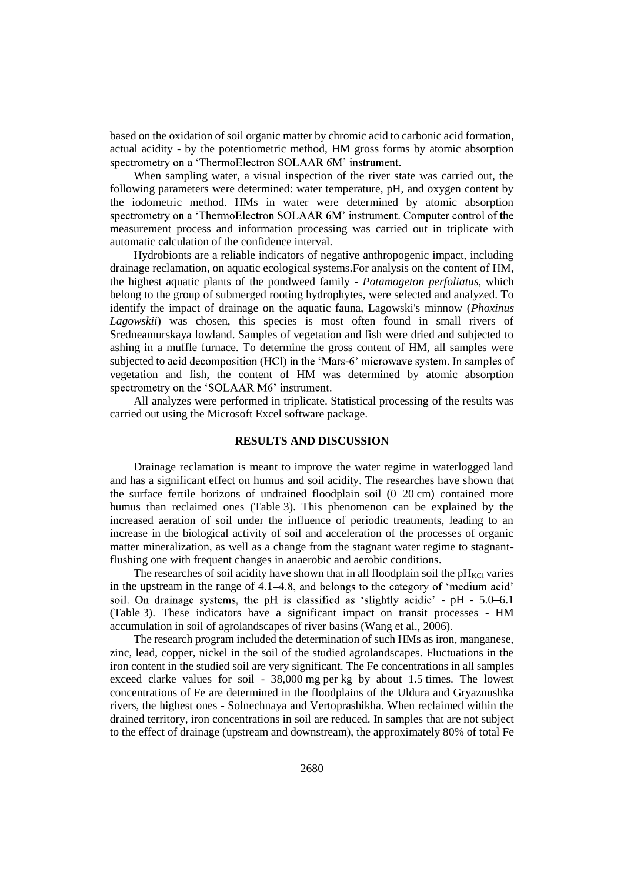based on the oxidation of soil organic matter by chromic acid to carbonic acid formation, actual acidity - by the potentiometric method, HM gross forms by atomic absorption spectrometry on a 'ThermoElectron SOLAAR 6M' instrument.

When sampling water, a visual inspection of the river state was carried out, the following parameters were determined: water temperature, pH, and oxygen content by the iodometric method. HMs in water were determined by atomic absorption spectrometry on a 'ThermoElectron SOLAAR 6M' instrument. Computer control of the measurement process and information processing was carried out in triplicate with automatic calculation of the confidence interval.

Hydrobionts are a reliable indicators of negative anthropogenic impact, including drainage reclamation, on aquatic ecological systems.For analysis on the content of HM, the highest aquatic plants of the pondweed family - *Potamogeton perfoliatus*, which belong to the group of submerged rooting hydrophytes, were selected and analyzed. To identify the impact of drainage on the aquatic fauna, Lagowski's minnow (*Phoxinus Lagowskii*) was chosen, this species is most often found in small rivers of Sredneamurskaya lowland. Samples of vegetation and fish were dried and subjected to ashing in a muffle furnace. To determine the gross content of HM, all samples were subjected to acid decomposition (HCl) in the 'Mars-6' microwave system. In samples of vegetation and fish, the content of HM was determined by atomic absorption spectrometry on the 'SOLAAR M6' instrument.

All analyzes were performed in triplicate. Statistical processing of the results was carried out using the Microsoft Excel software package.

## **RESULTS AND DISCUSSION**

Drainage reclamation is meant to improve the water regime in waterlogged land and has a significant effect on humus and soil acidity. The researches have shown that the surface fertile horizons of undrained floodplain soil  $(0-20 \text{ cm})$  contained more humus than reclaimed ones (Table 3). This phenomenon can be explained by the increased aeration of soil under the influence of periodic treatments, leading to an increase in the biological activity of soil and acceleration of the processes of organic matter mineralization, as well as a change from the stagnant water regime to stagnantflushing one with frequent changes in anaerobic and aerobic conditions.

The researches of soil acidity have shown that in all floodplain soil the  $pH_{\text{KCl}}$  varies in the upstream in the range of  $4.1-4.8$ , and belongs to the category of 'medium acid' soil. On drainage systems, the pH is classified as 'slightly acidic' - pH - 5.0-6.1 (Table 3). These indicators have a significant impact on transit processes - HM accumulation in soil of agrolandscapes of river basins (Wang et al., 2006).

The research program included the determination of such HMs as iron, manganese, zinc, lead, copper, nickel in the soil of the studied agrolandscapes. Fluctuations in the iron content in the studied soil are very significant. The Fe concentrations in all samples exceed clarke values for soil - 38,000 mg per kg by about 1.5 times. The lowest concentrations of Fe are determined in the floodplains of the Uldura and Gryaznushka rivers, the highest ones - Solnechnaya and Vertoprashikha. When reclaimed within the drained territory, iron concentrations in soil are reduced. In samples that are not subject to the effect of drainage (upstream and downstream), the approximately 80% of total Fe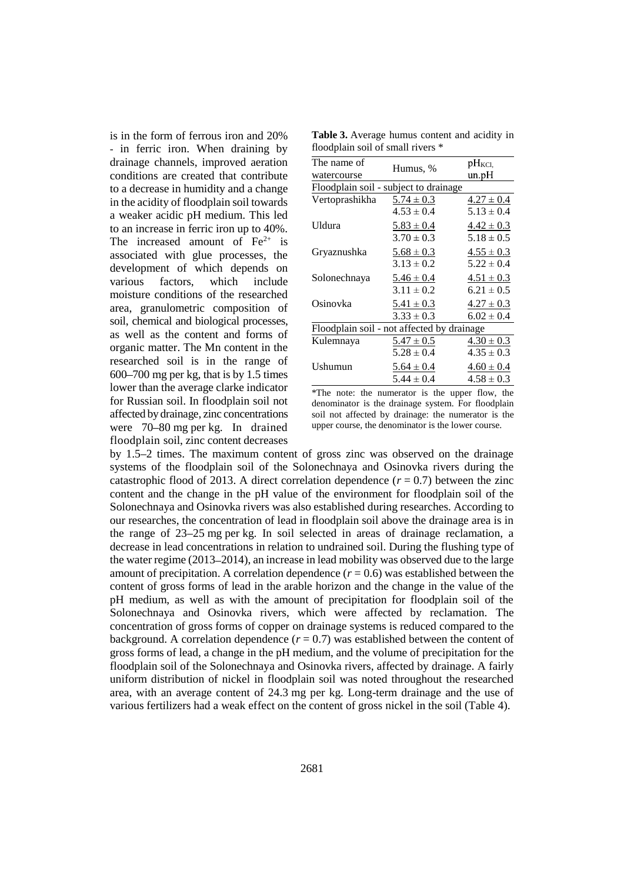is in the form of ferrous iron and 20% - in ferric iron. When draining by drainage channels, improved aeration conditions are created that contribute to a decrease in humidity and a change in the acidity of floodplain soil towards a weaker acidic pH medium. This led to an increase in ferric iron up to 40%. The increased amount of  $Fe<sup>2+</sup>$  is associated with glue processes, the development of which depends on various factors, which include moisture conditions of the researched area, granulometric composition of soil, chemical and biological processes, as well as the content and forms of organic matter. The Mn content in the researched soil is in the range of  $600 - 700$  mg per kg, that is by 1.5 times lower than the average clarke indicator for Russian soil. In floodplain soil not affected by drainage, zinc concentrations were 70–80 mg per kg. In drained floodplain soil, zinc content decreases

**Table 3.** Average humus content and acidity in floodplain soil of small rivers \*

| The name of                                |                | $pH_{KCl}$     |
|--------------------------------------------|----------------|----------------|
| watercourse                                | Humus, %       | un.pH          |
| Floodplain soil - subject to drainage      |                |                |
| Vertoprashikha                             | $5.74 \pm 0.3$ | $4.27 \pm 0.4$ |
|                                            | $4.53 \pm 0.4$ | $5.13 \pm 0.4$ |
| Uldura                                     | $5.83 \pm 0.4$ | $4.42 \pm 0.3$ |
|                                            | $3.70 \pm 0.3$ | $5.18 \pm 0.5$ |
| Gryaznushka                                | $5.68 \pm 0.3$ | $4.55 \pm 0.3$ |
|                                            | $3.13 \pm 0.2$ | $5.22 \pm 0.4$ |
| Solonechnaya                               | $5.46 \pm 0.4$ | $4.51 \pm 0.3$ |
|                                            | $3.11 \pm 0.2$ | $6.21 \pm 0.5$ |
| Osinovka                                   | $5.41 \pm 0.3$ | $4.27 \pm 0.3$ |
|                                            | $3.33 \pm 0.3$ | $6.02 \pm 0.4$ |
| Floodplain soil - not affected by drainage |                |                |
| Kulemnaya                                  | $5.47 \pm 0.5$ | $4.30 \pm 0.3$ |
|                                            | $5.28 \pm 0.4$ | $4.35 \pm 0.3$ |
| Ushumun                                    | $5.64 \pm 0.4$ | $4.60 \pm 0.4$ |
|                                            | $5.44 \pm 0.4$ | $4.58 \pm 0.3$ |

\*The note: the numerator is the upper flow, the denominator is the drainage system. For floodplain soil not affected by drainage: the numerator is the upper course, the denominator is the lower course.

by 1.5 2 times. The maximum content of gross zinc was observed on the drainage systems of the floodplain soil of the Solonechnaya and Osinovka rivers during the catastrophic flood of 2013. A direct correlation dependence  $(r = 0.7)$  between the zinc content and the change in the pH value of the environment for floodplain soil of the Solonechnaya and Osinovka rivers was also established during researches. According to our researches, the concentration of lead in floodplain soil above the drainage area is in the range of  $23-25$  mg per kg. In soil selected in areas of drainage reclamation, a decrease in lead concentrations in relation to undrained soil. During the flushing type of the water regime (2013 2014), an increase in lead mobility was observed due to the large amount of precipitation. A correlation dependence  $(r = 0.6)$  was established between the content of gross forms of lead in the arable horizon and the change in the value of the pH medium, as well as with the amount of precipitation for floodplain soil of the Solonechnaya and Osinovka rivers, which were affected by reclamation. The concentration of gross forms of copper on drainage systems is reduced compared to the background. A correlation dependence  $(r = 0.7)$  was established between the content of gross forms of lead, a change in the pH medium, and the volume of precipitation for the floodplain soil of the Solonechnaya and Osinovka rivers, affected by drainage. A fairly uniform distribution of nickel in floodplain soil was noted throughout the researched area, with an average content of 24.3 mg per kg. Long-term drainage and the use of various fertilizers had a weak effect on the content of gross nickel in the soil (Table 4).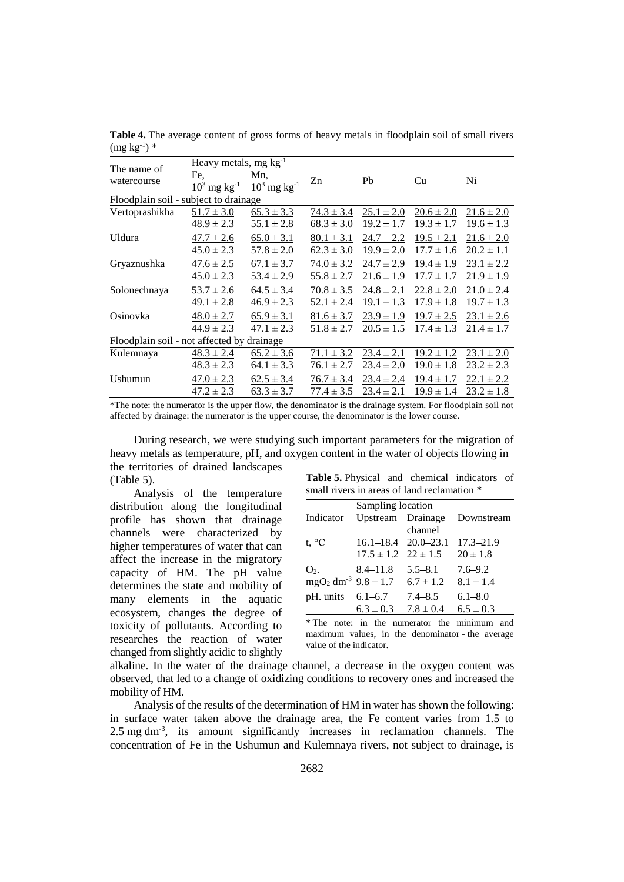| The name of                                | Heavy metals, mg $kg^{-1}$ |                            |                |                |                |                |  |  |  |
|--------------------------------------------|----------------------------|----------------------------|----------------|----------------|----------------|----------------|--|--|--|
| watercourse                                | Fe.                        | Mn,                        | Zn             | Pb             | Cu             | Ni             |  |  |  |
|                                            | $10^3$ mg kg <sup>-1</sup> | $10^3$ mg kg <sup>-1</sup> |                |                |                |                |  |  |  |
| Floodplain soil - subject to drainage      |                            |                            |                |                |                |                |  |  |  |
| Vertoprashikha                             | $51.7 \pm 3.0$             | $65.3 \pm 3.3$             | $74.3 \pm 3.4$ | $25.1 \pm 2.0$ | $20.6 \pm 2.0$ | $21.6 \pm 2.0$ |  |  |  |
|                                            | $48.9 \pm 2.3$             | $55.1 \pm 2.8$             | $68.3 \pm 3.0$ | $19.2 \pm 1.7$ | $19.3 \pm 1.7$ | $19.6 \pm 1.3$ |  |  |  |
| Uldura                                     | $47.7 \pm 2.6$             | $65.0 \pm 3.1$             | $80.1 \pm 3.1$ | $24.7 \pm 2.2$ | $19.5 \pm 2.1$ | $21.6 \pm 2.0$ |  |  |  |
|                                            | $45.0 \pm 2.3$             | $57.8 \pm 2.0$             | $62.3 \pm 3.0$ | $19.9 \pm 2.0$ | $17.7 \pm 1.6$ | $20.2 \pm 1.1$ |  |  |  |
| Gryaznushka                                | $47.6 \pm 2.5$             | $67.1 \pm 3.7$             | $74.0 \pm 3.2$ | $24.7 \pm 2.9$ | $19.4 \pm 1.9$ | $23.1 \pm 2.2$ |  |  |  |
|                                            | $45.0 \pm 2.3$             | $53.4 \pm 2.9$             | $55.8 \pm 2.7$ | $21.6 \pm 1.9$ | $17.7 \pm 1.7$ | $21.9 \pm 1.9$ |  |  |  |
| Solonechnaya                               | $53.7 \pm 2.6$             | $64.5 \pm 3.4$             | $70.8 \pm 3.5$ | $24.8 \pm 2.1$ | $22.8 \pm 2.0$ | $21.0 \pm 2.4$ |  |  |  |
|                                            | $49.1 \pm 2.8$             | $46.9 \pm 2.3$             | $52.1 \pm 2.4$ | $19.1 \pm 1.3$ | $17.9 \pm 1.8$ | $19.7 \pm 1.3$ |  |  |  |
| Osinovka                                   | $48.0 \pm 2.7$             | $65.9 \pm 3.1$             | $81.6 \pm 3.7$ | $23.9 \pm 1.9$ | $19.7 \pm 2.5$ | $23.1 \pm 2.6$ |  |  |  |
|                                            | $44.9 \pm 2.3$             | $47.1 \pm 2.3$             | $51.8 \pm 2.7$ | $20.5 \pm 1.5$ | $17.4 \pm 1.3$ | $21.4 \pm 1.7$ |  |  |  |
| Floodplain soil - not affected by drainage |                            |                            |                |                |                |                |  |  |  |
| Kulemnaya                                  | $48.3 \pm 2.4$             | $65.2 \pm 3.6$             | $71.1 \pm 3.2$ | $23.4 \pm 2.1$ | $19.2 \pm 1.2$ | $23.1 \pm 2.0$ |  |  |  |
|                                            | $48.3 \pm 2.3$             | $64.1 \pm 3.3$             | $76.1 \pm 2.7$ | $23.4 \pm 2.0$ | $19.0 \pm 1.8$ | $23.2 \pm 2.3$ |  |  |  |
| Ushumun                                    | $47.0 \pm 2.3$             | $62.5 \pm 3.4$             | $76.7 \pm 3.4$ | $23.4 \pm 2.4$ | $19.4 \pm 1.7$ | $22.1 \pm 2.2$ |  |  |  |
|                                            | $47.2 \pm 2.3$             | $63.3 \pm 3.7$             | $77.4 \pm 3.5$ | $23.4 \pm 2.1$ | $19.9 \pm 1.4$ | $23.2 \pm 1.8$ |  |  |  |

**Table 4.** The average content of gross forms of heavy metals in floodplain soil of small rivers  $(mg kg^{-1})$  \*

\*The note: the numerator is the upper flow, the denominator is the drainage system. For floodplain soil not affected by drainage: the numerator is the upper course, the denominator is the lower course.

During research, we were studying such important parameters for the migration of heavy metals as temperature, pH, and oxygen content in the water of objects flowing in the territories of drained landscapes (Table 5).

Analysis of the temperature distribution along the longitudinal profile has shown that drainage channels were characterized by higher temperatures of water that can affect the increase in the migratory capacity of HM. The pH value determines the state and mobility of many elements in the aquatic ecosystem, changes the degree of toxicity of pollutants. According to researches the reaction of water changed from slightly acidic to slightly

**Table 5.** Physical and chemical indicators of small rivers in areas of land reclamation  $*$ 

|                       | Sampling location        |                                                     |                              |
|-----------------------|--------------------------|-----------------------------------------------------|------------------------------|
| Indicator             |                          |                                                     | Upstream Drainage Downstream |
|                       |                          | channel                                             |                              |
| t, $^{\circ}C$        |                          | 16.1-18.4 20.0-23.1 17.3-21.9                       |                              |
|                       |                          | $17.5 \pm 1.2$ $22 \pm 1.5$ $20 \pm 1.8$            |                              |
| $O2$ .                | $8.4 - 11.8$ $5.5 - 8.1$ |                                                     | $7.6 - 9.2$                  |
|                       |                          | $mgO2 dm-3 9.8 \pm 1.7$ 6.7 $\pm$ 1.2 8.1 $\pm$ 1.4 |                              |
| pH. units $6.1 - 6.7$ |                          | 7.4–8.5                                             | $6.1 - 8.0$                  |
|                       |                          | $6.3 \pm 0.3$ $7.8 \pm 0.4$ $6.5 \pm 0.3$           |                              |

\* The note: in the numerator the minimum and maximum values, in the denominator - the average value of the indicator.

alkaline. In the water of the drainage channel, a decrease in the oxygen content was observed, that led to a change of oxidizing conditions to recovery ones and increased the mobility of HM.

Analysis of the results of the determination of HM in water has shown the following: in surface water taken above the drainage area, the Fe content varies from 1.5 to 2.5 mg dm-3 , its amount significantly increases in reclamation channels. The concentration of Fe in the Ushumun and Kulemnaya rivers, not subject to drainage, is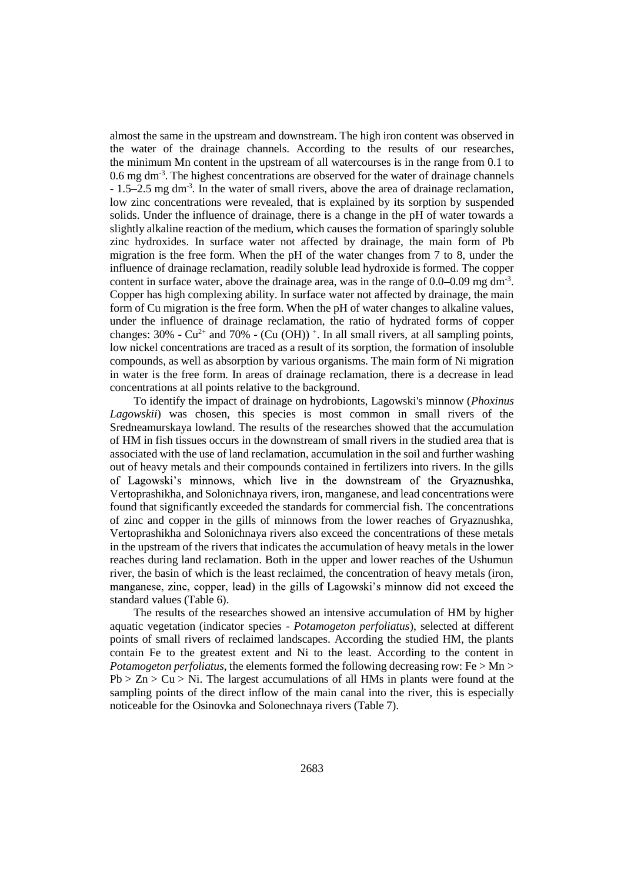almost the same in the upstream and downstream. The high iron content was observed in the water of the drainage channels. According to the results of our researches, the minimum Mn content in the upstream of all watercourses is in the range from 0.1 to 0.6 mg dm<sup>-3</sup>. The highest concentrations are observed for the water of drainage channels - 1.5–2.5 mg dm<sup>-3</sup>. In the water of small rivers, above the area of drainage reclamation, low zinc concentrations were revealed, that is explained by its sorption by suspended solids. Under the influence of drainage, there is a change in the pH of water towards a slightly alkaline reaction of the medium, which causes the formation of sparingly soluble zinc hydroxides. In surface water not affected by drainage, the main form of Pb migration is the free form. When the pH of the water changes from 7 to 8, under the influence of drainage reclamation, readily soluble lead hydroxide is formed. The copper content in surface water, above the drainage area, was in the range of  $0.0$ –0.09 mg dm<sup>-3</sup>. Copper has high complexing ability. In surface water not affected by drainage, the main form of Cu migration is the free form. When the pH of water changes to alkaline values, under the influence of drainage reclamation, the ratio of hydrated forms of copper changes:  $30\%$  -  $Cu^{2+}$  and  $70\%$  -  $(Cu(OH))$ <sup>+</sup>. In all small rivers, at all sampling points, low nickel concentrations are traced as a result of its sorption, the formation of insoluble compounds, as well as absorption by various organisms. The main form of Ni migration in water is the free form. In areas of drainage reclamation, there is a decrease in lead concentrations at all points relative to the background.

To identify the impact of drainage on hydrobionts, Lagowski's minnow (*Phoxinus Lagowskii*) was chosen, this species is most common in small rivers of the Sredneamurskaya lowland. The results of the researches showed that the accumulation of HM in fish tissues occurs in the downstream of small rivers in the studied area that is associated with the use of land reclamation, accumulation in the soil and further washing out of heavy metals and their compounds contained in fertilizers into rivers. In the gills of Lagowski's minnows, which live in the downstream of the Gryaznushka, Vertoprashikha, and Solonichnaya rivers, iron, manganese, and lead concentrations were found that significantly exceeded the standards for commercial fish. The concentrations of zinc and copper in the gills of minnows from the lower reaches of Gryaznushka, Vertoprashikha and Solonichnaya rivers also exceed the concentrations of these metals in the upstream of the rivers that indicates the accumulation of heavy metals in the lower reaches during land reclamation. Both in the upper and lower reaches of the Ushumun river, the basin of which is the least reclaimed, the concentration of heavy metals (iron, manganese, zinc, copper, lead) in the gills of Lagowski's minnow did not exceed the standard values (Table 6).

The results of the researches showed an intensive accumulation of HM by higher aquatic vegetation (indicator species - *Potamogeton perfoliatus*), selected at different points of small rivers of reclaimed landscapes. According the studied HM, the plants contain Fe to the greatest extent and Ni to the least. According to the content in *Potamogeton perfoliatus*, the elements formed the following decreasing row: Fe  $>$  Mn  $>$  $Pb > Zn > Cu > Ni$ . The largest accumulations of all HMs in plants were found at the sampling points of the direct inflow of the main canal into the river, this is especially noticeable for the Osinovka and Solonechnaya rivers (Table 7).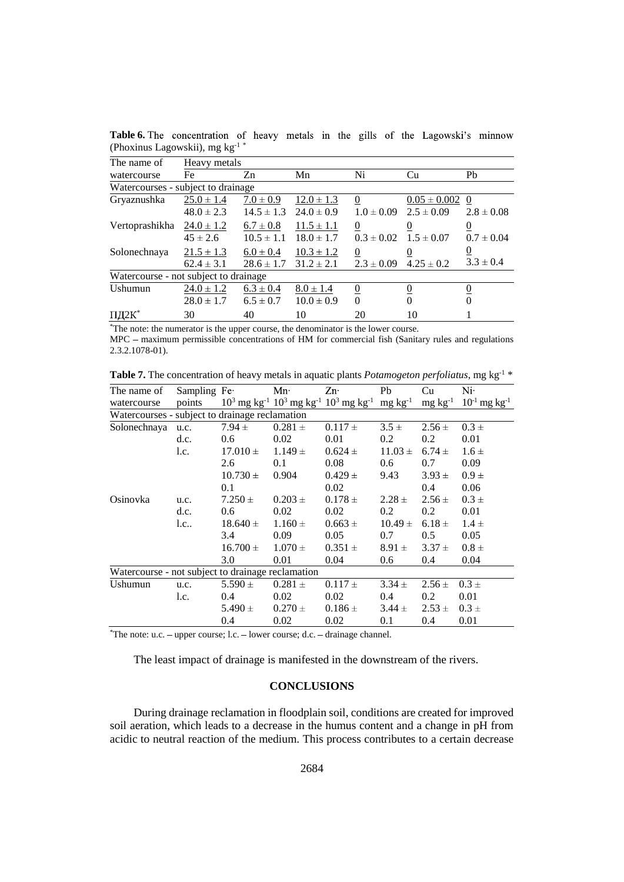| The name of                           | Heavy metals   |                |                |                  |                  |                |
|---------------------------------------|----------------|----------------|----------------|------------------|------------------|----------------|
| watercourse                           | Fe             | Zn             | Mn             | Ni               | Cu               | Pb             |
| Watercourses - subject to drainage    |                |                |                |                  |                  |                |
| Gryaznushka                           | $25.0 \pm 1.4$ | $7.0 \pm 0.9$  | $12.0 \pm 1.3$ | $\boldsymbol{0}$ | $0.05 \pm 0.002$ | $\theta$       |
|                                       | $48.0 \pm 2.3$ | $14.5 \pm 1.3$ | $24.0 \pm 0.9$ | $1.0 \pm 0.09$   | $2.5 \pm 0.09$   | $2.8 \pm 0.08$ |
| Vertoprashikha                        | $24.0 \pm 1.2$ | $6.7 \pm 0.8$  | $11.5 \pm 1.1$ | $\theta$         | $\theta$         | 0              |
|                                       | $45 \pm 2.6$   | $10.5 \pm 1.1$ | $18.0 \pm 1.7$ | $0.3 \pm 0.02$   | $1.5 \pm 0.07$   | $0.7 \pm 0.04$ |
| Solonechnaya                          | $21.5 \pm 1.3$ | $6.0 \pm 0.4$  | $10.3 \pm 1.2$ | $\boldsymbol{0}$ | 0                | <u>0</u>       |
|                                       | $62.4 \pm 3.1$ | $28.6 \pm 1.7$ | $31.2 \pm 2.1$ | $2.3 \pm 0.09$   | $4.25 \pm 0.2$   | $3.3 \pm 0.4$  |
| Watercourse - not subject to drainage |                |                |                |                  |                  |                |
| Ushumun                               | $24.0 \pm 1.2$ | $6.3 \pm 0.4$  | $8.0 \pm 1.4$  | $\overline{0}$   | $\Omega$         | 0              |
|                                       | $28.0 \pm 1.7$ | $6.5 \pm 0.7$  | $10.0 \pm 0.9$ | $\Omega$         | $\Omega$         | $\Omega$       |
| ПД2К                                  | 30             | 40             | 10             | 20               | 10               |                |

Table 6. The concentration of heavy metals in the gills of the Lagowski's minnow (Phoxinus Lagowskii), mg kg-1 \*

<sup>\*</sup>The note: the numerator is the upper course, the denominator is the lower course.

 $MPC$  – maximum permissible concentrations of HM for commercial fish (Sanitary rules and regulations 2.3.2.1078-01).

**Table 7.** The concentration of heavy metals in aquatic plants *Potamogeton perfoliatus*, mg kg-1 \*

| The name of                                       |          | Sampling Fe Mn·  |             | $Zn^2$                                                                                                                   | Pb                     | Cu                                                                                                                                                                                                                                                                                                     | $Ni+$                         |
|---------------------------------------------------|----------|------------------|-------------|--------------------------------------------------------------------------------------------------------------------------|------------------------|--------------------------------------------------------------------------------------------------------------------------------------------------------------------------------------------------------------------------------------------------------------------------------------------------------|-------------------------------|
| watercourse                                       | points   |                  |             | $10^3$ mg kg <sup>-1</sup> $10^3$ mg kg <sup>-1</sup> $10^3$ mg kg <sup>-1</sup> mg kg <sup>-1</sup> mg kg <sup>-1</sup> |                        |                                                                                                                                                                                                                                                                                                        | $10^{-1}$ mg kg <sup>-1</sup> |
| Watercourses - subject to drainage reclamation    |          |                  |             |                                                                                                                          |                        |                                                                                                                                                                                                                                                                                                        |                               |
| Solonechnaya u.c.                                 |          | $7.94 \pm$       | $0.281 \pm$ | $0.117 \pm$                                                                                                              | $3.5 \pm$              | $2.56 \pm$                                                                                                                                                                                                                                                                                             | $0.3 \pm$                     |
|                                                   | d.c.     | 0.6 <sub>1</sub> | 0.02        | 0.01                                                                                                                     | 0.2                    | 0.2                                                                                                                                                                                                                                                                                                    | 0.01                          |
|                                                   | l.c.     | $17.010 \pm$     | $1.149 \pm$ | $0.624 \pm$                                                                                                              | $11.03 \pm 6.74 \pm 1$ |                                                                                                                                                                                                                                                                                                        | $1.6 \pm$                     |
|                                                   |          | 2.6              | 0.1         | 0.08                                                                                                                     | 0.6                    | 0.7                                                                                                                                                                                                                                                                                                    | 0.09                          |
|                                                   |          | $10.730 \pm$     | 0.904       | $0.429 \pm$                                                                                                              | 9.43                   | $3.93 \pm$                                                                                                                                                                                                                                                                                             | $0.9 \pm$                     |
|                                                   |          | 0.1              |             | 0.02                                                                                                                     |                        | $0.4\,$                                                                                                                                                                                                                                                                                                | 0.06                          |
| Osinovka                                          | u.c.     | $7.250 \pm$      | $0.203 \pm$ | $0.178 \pm$                                                                                                              | $2.28 \pm$             | $2.56 \pm$                                                                                                                                                                                                                                                                                             | $0.3 \pm$                     |
|                                                   | d.c.     | 0.6              | 0.02        | 0.02                                                                                                                     | 0.2                    | 0.2                                                                                                                                                                                                                                                                                                    | 0.01                          |
|                                                   | $l.c.$ . | $18.640 \pm$     | $1.160 \pm$ | $0.663 \pm$                                                                                                              | $10.49 \pm$            | $6.18 \pm$                                                                                                                                                                                                                                                                                             | $1.4 \pm$                     |
|                                                   |          | 3.4              | 0.09        | 0.05                                                                                                                     | 0.7                    | 0.5                                                                                                                                                                                                                                                                                                    | 0.05                          |
|                                                   |          | $16.700 \pm$     | $1.070 \pm$ | $0.351 \pm$                                                                                                              | $8.91 \pm$             | $3.37 \pm$                                                                                                                                                                                                                                                                                             | $0.8 \pm$                     |
|                                                   |          | 3.0              | 0.01        | 0.04                                                                                                                     | $0.6\,$                | 0.4                                                                                                                                                                                                                                                                                                    | 0.04                          |
| Watercourse - not subject to drainage reclamation |          |                  |             |                                                                                                                          |                        |                                                                                                                                                                                                                                                                                                        |                               |
| Ushumun                                           | u.c.     | $5.590 \pm$      | $0.281 \pm$ | $0.117 \pm$                                                                                                              | $3.34 \pm$             | $2.56 \pm$                                                                                                                                                                                                                                                                                             | $0.3 \pm$                     |
|                                                   | l.c.     | 0.4              | 0.02        | 0.02                                                                                                                     | 0.4                    | 0.2                                                                                                                                                                                                                                                                                                    | 0.01                          |
|                                                   |          | $5.490 \pm$      | $0.270 \pm$ | $0.186 \pm$                                                                                                              | $3.44 \pm$             | $2.53 \pm 0.3 \pm 0.3 \pm 0.3 \pm 0.3 \pm 0.3 \pm 0.3 \pm 0.3 \pm 0.3 \pm 0.3 \pm 0.3 \pm 0.3 \pm 0.3 \pm 0.3 \pm 0.3 \pm 0.3 \pm 0.3 \pm 0.3 \pm 0.3 \pm 0.3 \pm 0.3 \pm 0.3 \pm 0.3 \pm 0.3 \pm 0.3 \pm 0.3 \pm 0.3 \pm 0.3 \pm 0.3 \pm 0.3 \pm 0.3 \pm 0.3 \pm 0.3 \pm 0.3 \pm 0.3 \pm 0.3 \pm 0.3$ |                               |
|                                                   |          | 0.4              | 0.02        | 0.02                                                                                                                     | $0.1\,$                | 0.4                                                                                                                                                                                                                                                                                                    | 0.01                          |

\*The note: u.c. - upper course; l.c. - lower course; d.c. - drainage channel.

The least impact of drainage is manifested in the downstream of the rivers.

## **CONCLUSIONS**

During drainage reclamation in floodplain soil, conditions are created for improved soil aeration, which leads to a decrease in the humus content and a change in pH from acidic to neutral reaction of the medium. This process contributes to a certain decrease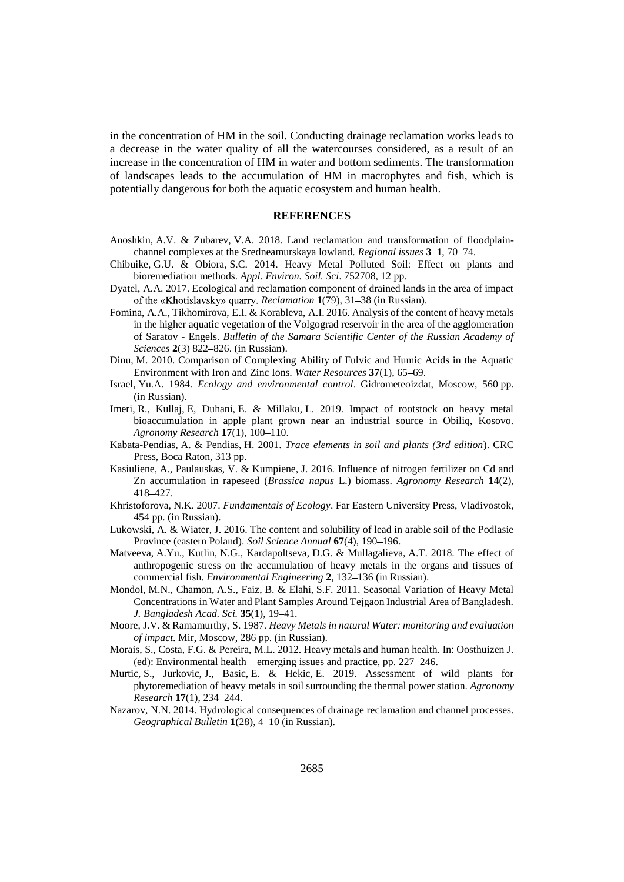in the concentration of HM in the soil. Conducting drainage reclamation works leads to a decrease in the water quality of all the watercourses considered, as a result of an increase in the concentration of HM in water and bottom sediments. The transformation of landscapes leads to the accumulation of HM in macrophytes and fish, which is potentially dangerous for both the aquatic ecosystem and human health.

#### **REFERENCES**

- Anoshkin, A.V. & Zubarev, V.A. 2018. Land reclamation and transformation of floodplain channel complexes at the Sredneamurskaya lowland. *Regional issues* 3–1, 70–74.
- Chibuike, G.U. & Obiora, S.C. 2014. Heavy Metal Polluted Soil: Effect on plants and bioremediation methods. *Appl. Environ. Soil. Sci*. 752708, 12 pp.
- Dyatel, A.A. 2017. Ecological and reclamation component of drained lands in the area of impact of the «Khotislavsky» quarry. *Reclamation* **1**(79), 31–38 (in Russian).
- Fomina, A.A., Tikhomirova, E.I. & Korableva, A.I. 2016. Analysis of the content of heavy metals in the higher aquatic vegetation of the Volgograd reservoir in the area of the agglomeration of Saratov - Engels. *Bulletin of the Samara Scientific Center of the Russian Academy of Sciences* **2**(3) 822-826. (in Russian).
- Dinu, M. 2010. Comparison of Complexing Ability of Fulvic and Humic Acids in the Aquatic Environment with Iron and Zinc Ions. *Water Resources* 37(1), 65–69.
- Israel, Yu.A. 1984. *Ecology and environmental control*. Gidrometeoizdat, Moscow, 560 pp. (in Russian).
- Imeri, R., Kullaj, E, Duhani, E. & Millaku, L. 2019. Impact of rootstock on heavy metal bioaccumulation in apple plant grown near an industrial source in Obiliq, Kosovo. *Agronomy Research* **17**(1), 100-110.
- Kabata-Pendias, A. & Pendias, H. 2001. *Trace elements in soil and plants (3rd edition*). CRC Press, Boca Raton, 313 pp.
- Kasiuliene, A., Paulauskas, V. & Kumpiene, J. 2016. Influence of nitrogen fertilizer on Cd and Zn accumulation in rapeseed (*Brassica napus* L.) biomass. *Agronomy Research* **14**(2), 418 427.
- Khristoforova, N.K. 2007. *Fundamentals of Ecology*. Far Eastern University Press, Vladivostok, 454 pp. (in Russian).
- Lukowski, A. & Wiater, J. 2016. The content and solubility of lead in arable soil of the Podlasie Province (eastern Poland). *Soil Science Annual* **67**(4), 190–196.
- Matveeva, A.Yu., Kutlin, N.G., Kardapoltseva, D.G. & Mullagalieva, A.T. 2018. The effect of anthropogenic stress on the accumulation of heavy metals in the organs and tissues of commercial fish. *Environmental Engineering* 2, 132-136 (in Russian).
- Mondol, M.N., Chamon, A.S., Faiz, B. & Elahi, S.F. 2011. Seasonal Variation of Heavy Metal Concentrations in Water and Plant Samples Around Tejgaon Industrial Area of Bangladesh. *J. Bangladesh Acad. Sci.* **35**(1), 19–41.
- Moore, J.V. & Ramamurthy, S. 1987. *Heavy Metals in natural Water: monitoring and evaluation of impact*. Mir, Moscow, 286 pp. (in Russian).
- Morais, S., Costa, F.G. & Pereira, M.L. 2012. Heavy metals and human health. In: Oosthuizen J. (ed): Environmental health  $-$  emerging issues and practice, pp. 227 $-246$ .
- Murtic, S., Jurkovic, J., Basic, E. & Hekic, E. 2019. Assessment of wild plants for phytoremediation of heavy metals in soil surrounding the thermal power station. *Agronomy Research* 17(1), 234-244.
- Nazarov, N.N. 2014. Hydrological consequences of drainage reclamation and channel processes. *Geographical Bulletin* 1(28), 4-10 (in Russian).